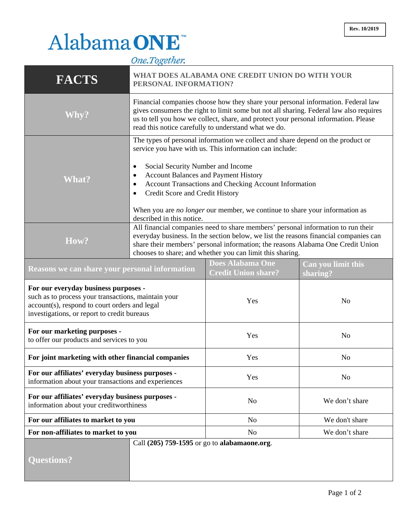## Alabama ONE  $\overline{1}$

|                                                                                                                                                                                             | One.1 ogether.                                                                                                                                                                                                                                                                                                                                        |                                                                                                                                                                                                                                                                                           |                                |
|---------------------------------------------------------------------------------------------------------------------------------------------------------------------------------------------|-------------------------------------------------------------------------------------------------------------------------------------------------------------------------------------------------------------------------------------------------------------------------------------------------------------------------------------------------------|-------------------------------------------------------------------------------------------------------------------------------------------------------------------------------------------------------------------------------------------------------------------------------------------|--------------------------------|
| <b>FACTS</b>                                                                                                                                                                                | WHAT DOES ALABAMA ONE CREDIT UNION DO WITH YOUR<br>PERSONAL INFORMATION?                                                                                                                                                                                                                                                                              |                                                                                                                                                                                                                                                                                           |                                |
| Why?                                                                                                                                                                                        | Financial companies choose how they share your personal information. Federal law<br>gives consumers the right to limit some but not all sharing. Federal law also requires<br>us to tell you how we collect, share, and protect your personal information. Please<br>read this notice carefully to understand what we do.                             |                                                                                                                                                                                                                                                                                           |                                |
| <b>What?</b>                                                                                                                                                                                | Social Security Number and Income<br>$\bullet$<br><b>Account Balances and Payment History</b><br>٠<br>٠<br>Credit Score and Credit History<br>٠                                                                                                                                                                                                       | The types of personal information we collect and share depend on the product or<br>service you have with us. This information can include:<br>Account Transactions and Checking Account Information<br>When you are <i>no longer</i> our member, we continue to share your information as |                                |
| How?                                                                                                                                                                                        | described in this notice.<br>All financial companies need to share members' personal information to run their<br>everyday business. In the section below, we list the reasons financial companies can<br>share their members' personal information; the reasons Alabama One Credit Union<br>chooses to share; and whether you can limit this sharing. |                                                                                                                                                                                                                                                                                           |                                |
| Reasons we can share your personal information                                                                                                                                              |                                                                                                                                                                                                                                                                                                                                                       | <b>Does Alabama One</b><br><b>Credit Union share?</b>                                                                                                                                                                                                                                     | Can you limit this<br>sharing? |
| For our everyday business purposes -<br>such as to process your transactions, maintain your<br>account(s), respond to court orders and legal<br>investigations, or report to credit bureaus |                                                                                                                                                                                                                                                                                                                                                       | Yes                                                                                                                                                                                                                                                                                       | N <sub>o</sub>                 |
| For our marketing purposes -<br>to offer our products and services to you                                                                                                                   |                                                                                                                                                                                                                                                                                                                                                       | Yes                                                                                                                                                                                                                                                                                       | N <sub>o</sub>                 |
| For joint marketing with other financial companies                                                                                                                                          |                                                                                                                                                                                                                                                                                                                                                       | Yes                                                                                                                                                                                                                                                                                       | No                             |
| For our affiliates' everyday business purposes -<br>information about your transactions and experiences                                                                                     |                                                                                                                                                                                                                                                                                                                                                       | Yes                                                                                                                                                                                                                                                                                       | N <sub>o</sub>                 |
| For our affiliates' everyday business purposes -<br>information about your creditworthiness                                                                                                 |                                                                                                                                                                                                                                                                                                                                                       | N <sub>0</sub>                                                                                                                                                                                                                                                                            | We don't share                 |
| For our affiliates to market to you                                                                                                                                                         |                                                                                                                                                                                                                                                                                                                                                       | N <sub>0</sub>                                                                                                                                                                                                                                                                            | We don't share                 |
| For non-affiliates to market to you                                                                                                                                                         |                                                                                                                                                                                                                                                                                                                                                       | N <sub>0</sub>                                                                                                                                                                                                                                                                            | We don't share                 |
| <b>Questions?</b>                                                                                                                                                                           | Call (205) 759-1595 or go to alabamaone.org.                                                                                                                                                                                                                                                                                                          |                                                                                                                                                                                                                                                                                           |                                |